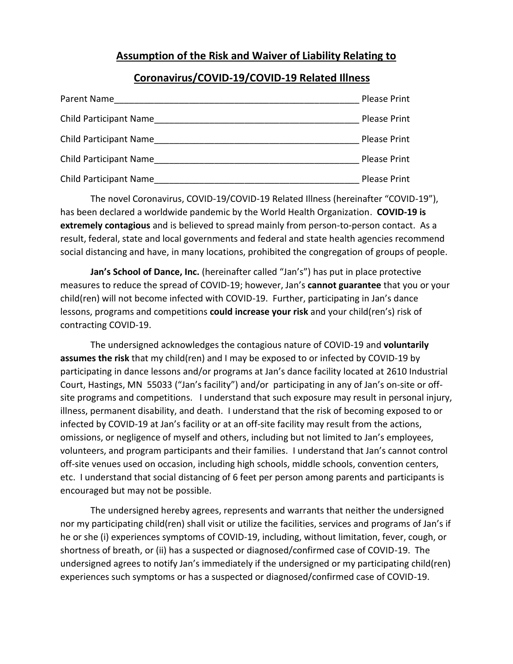## **Assumption of the Risk and Waiver of Liability Relating to**

## **Coronavirus/COVID-19/COVID-19 Related Illness**

| Parent Name                   | Please Print        |
|-------------------------------|---------------------|
| <b>Child Participant Name</b> | <b>Please Print</b> |
| <b>Child Participant Name</b> | <b>Please Print</b> |
| <b>Child Participant Name</b> | Please Print        |
| <b>Child Participant Name</b> | Please Print        |

The novel Coronavirus, COVID-19/COVID-19 Related Illness (hereinafter "COVID-19"), has been declared a worldwide pandemic by the World Health Organization. **COVID-19 is extremely contagious** and is believed to spread mainly from person-to-person contact. As a result, federal, state and local governments and federal and state health agencies recommend social distancing and have, in many locations, prohibited the congregation of groups of people.

**Jan's School of Dance, Inc.** (hereinafter called "Jan's") has put in place protective measures to reduce the spread of COVID-19; however, Jan's **cannot guarantee** that you or your child(ren) will not become infected with COVID-19. Further, participating in Jan's dance lessons, programs and competitions **could increase your risk** and your child(ren's) risk of contracting COVID-19.

The undersigned acknowledges the contagious nature of COVID-19 and **voluntarily assumes the risk** that my child(ren) and I may be exposed to or infected by COVID-19 by participating in dance lessons and/or programs at Jan's dance facility located at 2610 Industrial Court, Hastings, MN 55033 ("Jan's facility") and/or participating in any of Jan's on-site or offsite programs and competitions. I understand that such exposure may result in personal injury, illness, permanent disability, and death. I understand that the risk of becoming exposed to or infected by COVID-19 at Jan's facility or at an off-site facility may result from the actions, omissions, or negligence of myself and others, including but not limited to Jan's employees, volunteers, and program participants and their families. I understand that Jan's cannot control off-site venues used on occasion, including high schools, middle schools, convention centers, etc. I understand that social distancing of 6 feet per person among parents and participants is encouraged but may not be possible.

The undersigned hereby agrees, represents and warrants that neither the undersigned nor my participating child(ren) shall visit or utilize the facilities, services and programs of Jan's if he or she (i) experiences symptoms of COVID-19, including, without limitation, fever, cough, or shortness of breath, or (ii) has a suspected or diagnosed/confirmed case of COVID-19. The undersigned agrees to notify Jan's immediately if the undersigned or my participating child(ren) experiences such symptoms or has a suspected or diagnosed/confirmed case of COVID-19.